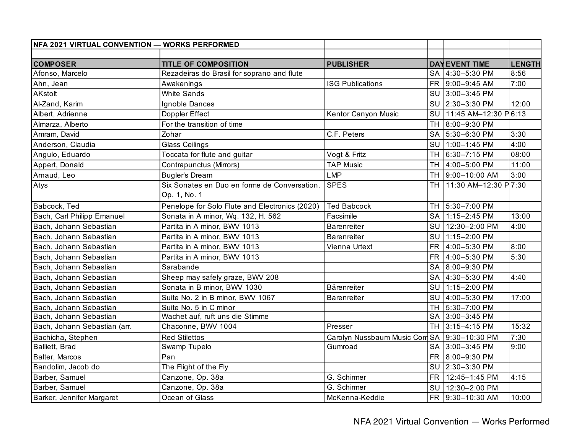| NFA 2021 VIRTUAL CONVENTION — WORKS PERFORMED |                                                              |                               |           |                       |               |
|-----------------------------------------------|--------------------------------------------------------------|-------------------------------|-----------|-----------------------|---------------|
|                                               |                                                              |                               |           |                       |               |
| <b>COMPOSER</b>                               | <b>TITLE OF COMPOSITION</b>                                  | <b>PUBLISHER</b>              |           | <b>DAY EVENT TIME</b> | <b>LENGTH</b> |
| Afonso, Marcelo                               | Rezadeiras do Brasil for soprano and flute                   |                               |           | SA 4:30-5:30 PM       | 8:56          |
| Ahn, Jean                                     | Awakenings                                                   | <b>ISG Publications</b>       |           | FR 9:00-9:45 AM       | 7:00          |
| <b>AKstolt</b>                                | <b>White Sands</b>                                           |                               |           | SU 3:00-3:45 PM       |               |
| Al-Zand, Karim                                | Ignoble Dances                                               |                               |           | SU 2:30-3:30 PM       | 12:00         |
| Albert, Adrienne                              | Doppler Effect                                               | Kentor Canyon Music           | SU        | 11:45 AM-12:30 P6:13  |               |
| Almarza, Alberto                              | For the transition of time                                   |                               | <b>TH</b> | 8:00-9:30 PM          |               |
| Amram, David                                  | Zohar                                                        | C.F. Peters                   | <b>SA</b> | 5:30-6:30 PM          | 3:30          |
| Anderson, Claudia                             | <b>Glass Ceilings</b>                                        |                               | SU        | $1:00-1:45$ PM        | 4:00          |
| Angulo, Eduardo                               | Toccata for flute and guitar                                 | Vogt & Fritz                  |           | TH 6:30-7:15 PM       | 08:00         |
| Appert, Donald                                | Contrapunctus (Mirrors)                                      | <b>TAP Music</b>              |           | TH 4:00-5:00 PM       | 11:00         |
| Arnaud, Leo                                   | Bugler's Dream                                               | <b>LMP</b>                    |           | TH 9:00-10:00 AM      | 3:00          |
| Atys                                          | Six Sonates en Duo en forme de Conversation,<br>Op. 1, No. 1 | <b>SPES</b>                   | <b>TH</b> | 11:30 AM-12:30 P7:30  |               |
| Babcock, Ted                                  | Penelope for Solo Flute and Electronics (2020)               | <b>Ted Babcock</b>            |           | TH 5:30-7:00 PM       |               |
| Bach, Carl Philipp Emanuel                    | Sonata in A minor, Wq. 132, H. 562                           | Facsimile                     | SA        | 1:15-2:45 PM          | 13:00         |
| Bach, Johann Sebastian                        | Partita in A minor, BWV 1013                                 | <b>Barenreiter</b>            |           | SU 12:30-2:00 PM      | 4:00          |
| Bach, Johann Sebastian                        | Partita in A minor, BWV 1013                                 | <b>Barenreiter</b>            |           | SU 1:15-2:00 PM       |               |
| Bach, Johann Sebastian                        | Partita in A minor, BWV 1013                                 | Vienna Urtext                 | <b>FR</b> | 4:00-5:30 PM          | 8:00          |
| Bach, Johann Sebastian                        | Partita in A minor, BWV 1013                                 |                               |           | FR 4:00-5:30 PM       | 5:30          |
| Bach, Johann Sebastian                        | Sarabande                                                    |                               |           | SA 8:00-9:30 PM       |               |
| Bach, Johann Sebastian                        | Sheep may safely graze, BWV 208                              |                               |           | SA 4:30-5:30 PM       | 4:40          |
| Bach, Johann Sebastian                        | Sonata in B minor, BWV 1030                                  | Bärenreiter                   |           | SU 1:15-2:00 PM       |               |
| Bach, Johann Sebastian                        | Suite No. 2 in B minor, BWV 1067                             | Barenreiter                   |           | SU 4:00-5:30 PM       | 17:00         |
| Bach, Johann Sebastian                        | Suite No. 5 in C minor                                       |                               |           | TH 5:30-7:00 PM       |               |
| Bach, Johann Sebastian                        | Wachet auf, ruft uns die Stimme                              |                               |           | SA 3:00-3:45 PM       |               |
| Bach, Johann Sebastian (arr.                  | Chaconne, BWV 1004                                           | Presser                       |           | TH 3:15-4:15 PM       | 15:32         |
| Bachicha, Stephen                             | <b>Red Stilettos</b>                                         | Carolyn Nussbaum Music Com SA |           | 9:30-10:30 PM         | 7:30          |
| Balliett, Brad                                | Swamp Tupelo                                                 | Gumroad                       | <b>SA</b> | $3:00-3:45$ PM        | 9:00          |
| <b>Balter, Marcos</b>                         | Pan                                                          |                               | <b>FR</b> | 8:00-9:30 PM          |               |
| Bandolim, Jacob do                            | The Flight of the Fly                                        |                               |           | SU 2:30-3:30 PM       |               |
| Barber, Samuel                                | Canzone, Op. 38a                                             | G. Schirmer                   | <b>FR</b> | 12:45-1:45 PM         | 4:15          |
| Barber, Samuel                                | Canzone, Op. 38a                                             | G. Schirmer                   |           | SU 12:30-2:00 PM      |               |
| Barker, Jennifer Margaret                     | Ocean of Glass                                               | McKenna-Keddie                |           | FR 9:30-10:30 AM      | 10:00         |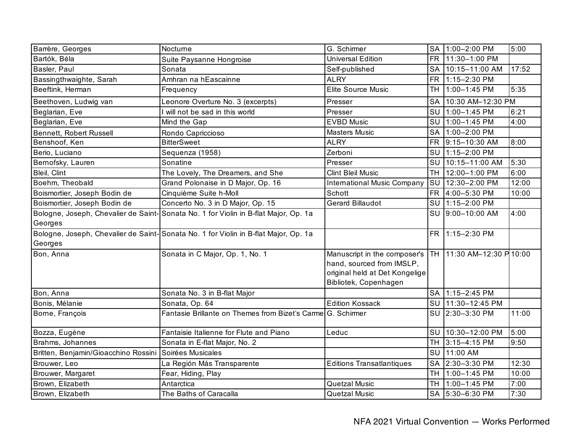| Barrère, Georges                     | Nocturne                                                                            | G. Schirmer                                                                                                          | <b>SA</b> | 1:00-2:00 PM             | 5:00  |
|--------------------------------------|-------------------------------------------------------------------------------------|----------------------------------------------------------------------------------------------------------------------|-----------|--------------------------|-------|
| Bartók, Béla                         | Suite Paysanne Hongroise                                                            | <b>Universal Edition</b>                                                                                             | <b>FR</b> | 11:30-1:00 PM            |       |
| Basler, Paul                         | Sonata                                                                              | Self-published                                                                                                       | <b>SA</b> | 10:15-11:00 AM           | 17:52 |
| Bassingthwaighte, Sarah              | Amhran na hEascainne                                                                | <b>ALRY</b>                                                                                                          | <b>FR</b> | 1:15-2:30 PM             |       |
| Beeftink, Herman                     | Frequency                                                                           | Elite Source Music                                                                                                   | TH        | 1:00-1:45 PM             | 5:35  |
| Beethoven, Ludwig van                | Leonore Overture No. 3 (excerpts)                                                   | Presser                                                                                                              | <b>SA</b> | 10:30 AM-12:30 PM        |       |
| Beglarian, Eve                       | I will not be sad in this world                                                     | Presser                                                                                                              | SU        | 1:00-1:45 PM             | 6:21  |
| Beglarian, Eve                       | Mind the Gap                                                                        | <b>EVBD Music</b>                                                                                                    | SU        | 1:00-1:45 PM             | 4:00  |
| Bennett, Robert Russell              | Rondo Capriccioso                                                                   | <b>Masters Music</b>                                                                                                 | <b>SA</b> | 1:00-2:00 PM             |       |
| Benshoof, Ken                        | <b>BitterSweet</b>                                                                  | <b>ALRY</b>                                                                                                          |           | FR 9:15-10:30 AM         | 8:00  |
| Berio, Luciano                       | Sequenza (1958)                                                                     | Zerboni                                                                                                              |           | SU 1:15-2:00 PM          |       |
| Bernofsky, Lauren                    | Sonatine                                                                            | Presser                                                                                                              | SU        | 10:15-11:00 AM           | 5:30  |
| Bleil, Clint                         | The Lovely, The Dreamers, and She                                                   | <b>Clint Bleil Music</b>                                                                                             | <b>TH</b> | 12:00-1:00 PM            | 6:00  |
| Boehm, Theobald                      | Grand Polonaise in D Major, Op. 16                                                  | <b>International Music Company</b>                                                                                   | SU        | 12:30-2:00 PM            | 12:00 |
| Boismortier, Joseph Bodin de         | Cinquième Suite h-Moll                                                              | Schott                                                                                                               | <b>FR</b> | 4:00-5:30 PM             | 10:00 |
| Boismortier, Joseph Bodin de         | Concerto No. 3 in D Major, Op. 15                                                   | <b>Gerard Billaudot</b>                                                                                              | SU        | 1:15-2:00 PM             |       |
| Georges                              | Bologne, Joseph, Chevalier de Saint-Sonata No. 1 for Violin in B-flat Major, Op. 1a |                                                                                                                      | SU        | 9:00-10:00 AM            | 4:00  |
|                                      | Bologne, Joseph, Chevalier de Saint-Sonata No. 1 for Violin in B-flat Major, Op. 1a |                                                                                                                      | <b>FR</b> | 1:15-2:30 PM             |       |
| Georges                              |                                                                                     |                                                                                                                      |           |                          |       |
| Bon, Anna                            | Sonata in C Major, Op. 1, No. 1                                                     | Manuscript in the composer's<br>hand, sourced from IMSLP,<br>original held at Det Kongelige<br>Bibliotek, Copenhagen |           | TH 11:30 AM-12:30 P10:00 |       |
| Bon, Anna                            | Sonata No. 3 in B-flat Major                                                        |                                                                                                                      |           | SA 1:15-2:45 PM          |       |
| Bonis, Mélanie                       | Sonata, Op. 64                                                                      | <b>Edition Kossack</b>                                                                                               | SU        | 11:30-12:45 PM           |       |
| Borne, François                      | Fantasie Brillante on Themes from Bizet's Carme G. Schirmer                         |                                                                                                                      |           | SU 2:30-3:30 PM          | 11:00 |
| Bozza, Eugène                        | Fantaisie Italienne for Flute and Piano                                             | Leduc                                                                                                                | SU        | 10:30-12:00 PM           | 5:00  |
| Brahms, Johannes                     | Sonata in E-flat Major, No. 2                                                       |                                                                                                                      |           | TH 3:15-4:15 PM          | 9:50  |
| Britten, Benjamin/Gioacchino Rossini | Soirées Musicales                                                                   |                                                                                                                      |           | SU 11:00 AM              |       |
| Brouwer, Leo                         | La Región Más Transparente                                                          | <b>Editions Transatlantiques</b>                                                                                     | <b>SA</b> | 2:30-3:30 PM             | 12:30 |
| Brouwer, Margaret                    | Fear, Hiding, Play                                                                  |                                                                                                                      | <b>TH</b> | 1:00-1:45 PM             | 10:00 |
| Brown, Elizabeth                     | Antarctica                                                                          | <b>Quetzal Music</b>                                                                                                 |           | TH 1:00-1:45 PM          | 7:00  |
| Brown, Elizabeth                     | The Baths of Caracalla                                                              | <b>Quetzal Music</b>                                                                                                 |           | SA 5:30-6:30 PM          | 7:30  |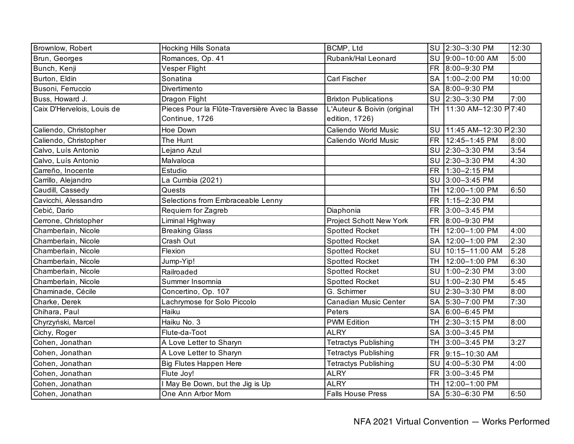| Brownlow, Robert           | <b>Hocking Hills Sonata</b>                                      | BCMP, Ltd                                     |           | SU 2:30-3:30 PM         | 12:30 |
|----------------------------|------------------------------------------------------------------|-----------------------------------------------|-----------|-------------------------|-------|
| Brun, Georges              | Romances, Op. 41                                                 | Rubank/Hal Leonard                            |           | SU 9:00-10:00 AM        | 5:00  |
| Bunch, Kenji               | Vesper Flight                                                    |                                               |           | FR 8:00-9:30 PM         |       |
| Burton, Eldin              | Sonatina                                                         | <b>Carl Fischer</b>                           | <b>SA</b> | $1:00-2:00$ PM          | 10:00 |
| Busoni, Ferruccio          | Divertimento                                                     |                                               |           | SA 8:00-9:30 PM         |       |
| Buss, Howard J.            | Dragon Flight                                                    | <b>Brixton Publications</b>                   |           | SU 2:30-3:30 PM         | 7:00  |
| Caix D'Hervelois, Louis de | Pieces Pour la Flûte-Traversière Avec la Basse<br>Continue, 1726 | L'Auteur & Boivin (original<br>edition, 1726) |           | TH 11:30 AM-12:30 P7:40 |       |
| Caliendo, Christopher      | Hoe Down                                                         | Caliendo World Music                          |           | SU 11:45 AM-12:30 P2:30 |       |
| Caliendo, Christopher      | The Hunt                                                         | Caliendo World Music                          |           | FR 12:45-1:45 PM        | 8:00  |
| Calvo, Luís Antonio        | Lejano Azul                                                      |                                               |           | SU 2:30-3:30 PM         | 3:54  |
| Calvo, Luís Antonio        | Malvaloca                                                        |                                               |           | SU 2:30-3:30 PM         | 4:30  |
| Carreño, Inocente          | Estudio                                                          |                                               |           | FR 1:30-2:15 PM         |       |
| Carrillo, Alejandro        | La Cumbia (2021)                                                 |                                               |           | SU 3:00-3:45 PM         |       |
| Caudill, Cassedy           | Quests                                                           |                                               |           | TH 12:00-1:00 PM        | 6:50  |
| Cavicchi, Alessandro       | Selections from Embraceable Lenny                                |                                               | <b>FR</b> | 1:15-2:30 PM            |       |
| Cebić, Dario               | Requiem for Zagreb                                               | Diaphonia                                     | <b>FR</b> | 3:00-3:45 PM            |       |
| Cerrone, Christopher       | Liminal Highway                                                  | Project Schott New York                       | FR.       | 8:00-9:30 PM            |       |
| Chamberlain, Nicole        | <b>Breaking Glass</b>                                            | <b>Spotted Rocket</b>                         | <b>TH</b> | 12:00-1:00 PM           | 4:00  |
| Chamberlain, Nicole        | Crash Out                                                        | <b>Spotted Rocket</b>                         |           | SA 12:00-1:00 PM        | 2:30  |
| Chamberlain, Nicole        | Flexion                                                          | <b>Spotted Rocket</b>                         |           | SU 10:15-11:00 AM       | 5:28  |
| Chamberlain, Nicole        | Jump-Yip!                                                        | <b>Spotted Rocket</b>                         | TH I      | 12:00-1:00 PM           | 6:30  |
| Chamberlain, Nicole        | Railroaded                                                       | <b>Spotted Rocket</b>                         |           | SU 1:00-2:30 PM         | 3:00  |
| Chamberlain, Nicole        | Summer Insomnia                                                  | <b>Spotted Rocket</b>                         |           | SU 1:00-2:30 PM         | 5:45  |
| Chaminade, Cécile          | Concertino, Op. 107                                              | G. Schirmer                                   | SU        | 2:30-3:30 PM            | 8:00  |
| Charke, Derek              | Lachrymose for Solo Piccolo                                      | Canadian Music Center                         | <b>SA</b> | 5:30-7:00 PM            | 7:30  |
| Chihara, Paul              | Haiku                                                            | Peters                                        | <b>SA</b> | 6:00-6:45 PM            |       |
| Chyrzyński, Marcel         | Haiku No. 3                                                      | <b>PWM Edition</b>                            | <b>TH</b> | 2:30-3:15 PM            | 8:00  |
| Cichy, Roger               | Flute-da-Toot                                                    | <b>ALRY</b>                                   |           | SA 3:00-3:45 PM         |       |
| Cohen, Jonathan            | A Love Letter to Sharyn                                          | <b>Tetractys Publishing</b>                   |           | TH 3:00-3:45 PM         | 3:27  |
| Cohen, Jonathan            | A Love Letter to Sharyn                                          | <b>Tetractys Publishing</b>                   | <b>FR</b> | 9:15-10:30 AM           |       |
| Cohen, Jonathan            | <b>Big Flutes Happen Here</b>                                    | <b>Tetractys Publishing</b>                   | SU        | 4:00-5:30 PM            | 4:00  |
| Cohen, Jonathan            | Flute Joy!                                                       | <b>ALRY</b>                                   | <b>FR</b> | 3:00-3:45 PM            |       |
| Cohen, Jonathan            | I May Be Down, but the Jig is Up                                 | <b>ALRY</b>                                   | TH I      | 12:00-1:00 PM           |       |
| Cohen, Jonathan            | One Ann Arbor Morn                                               | <b>Falls House Press</b>                      |           | SA 5:30-6:30 PM         | 6:50  |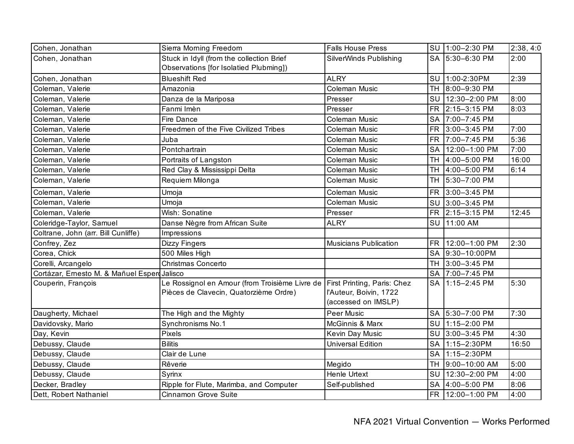| Cohen, Jonathan                              | Sierra Morning Freedom                                                                   | <b>Falls House Press</b>                                                     | SU 1:00-2:30 PM  | 2:38, 4:0 |
|----------------------------------------------|------------------------------------------------------------------------------------------|------------------------------------------------------------------------------|------------------|-----------|
| Cohen, Jonathan                              | Stuck in Idyll (from the collection Brief<br>Observations [for Isolatied Plubming])      | SilverWinds Publishing                                                       | SA 5:30-6:30 PM  | 2:00      |
| Cohen, Jonathan                              | <b>Blueshift Red</b>                                                                     | <b>ALRY</b>                                                                  | SU 1:00-2:30PM   | 2:39      |
| Coleman, Valerie                             | Amazonia                                                                                 | Coleman Music                                                                | TH 8:00-9:30 PM  |           |
| Coleman, Valerie                             | Danza de la Mariposa                                                                     | Presser                                                                      | SU 12:30-2:00 PM | 8:00      |
| Coleman, Valerie                             | Fanmi Imèn                                                                               | Presser                                                                      | FR 2:15-3:15 PM  | 8:03      |
| Coleman, Valerie                             | Fire Dance                                                                               | <b>Coleman Music</b>                                                         | SA 7:00-7:45 PM  |           |
| Coleman, Valerie                             | Freedmen of the Five Civilized Tribes                                                    | Coleman Music                                                                | FR 3:00-3:45 PM  | 7:00      |
| Coleman, Valerie                             | Juba                                                                                     | Coleman Music                                                                | FR 7:00-7:45 PM  | 5:36      |
| Coleman, Valerie                             | Pontchartrain                                                                            | Coleman Music                                                                | SA 12:00-1:00 PM | 7:00      |
| Coleman, Valerie                             | Portraits of Langston                                                                    | <b>Coleman Music</b>                                                         | TH 4:00-5:00 PM  | 16:00     |
| Coleman, Valerie                             | Red Clay & Mississippi Delta                                                             | <b>Coleman Music</b>                                                         | TH 4:00-5:00 PM  | 6:14      |
| Coleman, Valerie                             | Requiem Milonga                                                                          | <b>Coleman Music</b>                                                         | TH 5:30-7:00 PM  |           |
| Coleman, Valerie                             | Umoja                                                                                    | <b>Coleman Music</b>                                                         | FR 3:00-3:45 PM  |           |
| Coleman, Valerie                             | Umoja                                                                                    | Coleman Music                                                                | SU 3:00-3:45 PM  |           |
| Coleman, Valerie                             | Wish: Sonatine                                                                           | Presser                                                                      | FR 2:15-3:15 PM  | 12:45     |
| Coleridge-Taylor, Samuel                     | Danse Nègre from African Suite                                                           | <b>ALRY</b>                                                                  | SU 11:00 AM      |           |
| Coltrane, John (arr. Bill Cunliffe)          | Impressions                                                                              |                                                                              |                  |           |
| Confrey, Zez                                 | <b>Dizzy Fingers</b>                                                                     | <b>Musicians Publication</b>                                                 | FR 12:00-1:00 PM | 2:30      |
| Corea, Chick                                 | 500 Miles High                                                                           |                                                                              | SA 9:30-10:00PM  |           |
| Corelli, Arcangelo                           | Christmas Concerto                                                                       |                                                                              | TH 3:00-3:45 PM  |           |
| Cortázar, Ernesto M. & Mañuel Esperd Jalisco |                                                                                          |                                                                              | SA 7:00-7:45 PM  |           |
| Couperin, François                           | Le Rossignol en Amour (from Troisième Livre de<br>Pièces de Clavecin, Quatorzième Ordre) | First Printing, Paris: Chez<br>l'Auteur, Boivin, 1722<br>(accessed on IMSLP) | SA 1:15-2:45 PM  | 5:30      |
| Daugherty, Michael                           | The High and the Mighty                                                                  | <b>Peer Music</b>                                                            | SA 5:30-7:00 PM  | 7:30      |
| Davidovsky, Mario                            | Synchronisms No.1                                                                        | McGinnis & Marx                                                              | SU 1:15-2:00 PM  |           |
| Day, Kevin                                   | Pixels                                                                                   | Kevin Day Music                                                              | SU 3:00-3:45 PM  | 4:30      |
| Debussy, Claude                              | <b>Bilitis</b>                                                                           | <b>Universal Edition</b>                                                     | SA 1:15-2:30PM   | 16:50     |
| Debussy, Claude                              | Clair de Lune                                                                            |                                                                              | SA 1:15-2:30PM   |           |
| Debussy, Claude                              | Rêverie                                                                                  | Megido                                                                       | TH 9:00-10:00 AM | 5:00      |
| Debussy, Claude                              | Syrinx                                                                                   | <b>Henle Urtext</b>                                                          | SU 12:30-2:00 PM | 4:00      |
| Decker, Bradley                              | Ripple for Flute, Marimba, and Computer                                                  | Self-published                                                               | SA 4:00-5:00 PM  | 8:06      |
| Dett, Robert Nathaniel                       | <b>Cinnamon Grove Suite</b>                                                              |                                                                              | FR 12:00-1:00 PM | 4:00      |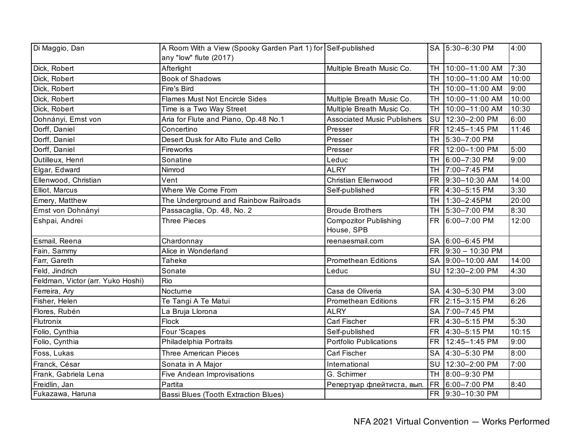| Di Maggio, Dan                    | A Room With a View (Spooky Garden Part 1) for Self-published<br>any "low" flute (2017) |                                            |           | SA 5:30-6:30 PM      | 4:00  |
|-----------------------------------|----------------------------------------------------------------------------------------|--------------------------------------------|-----------|----------------------|-------|
| Dick, Robert                      | Afterlight                                                                             | Multiple Breath Music Co.                  | TH I      | 10:00-11:00 AM       | 7:30  |
| Dick, Robert                      | <b>Book of Shadows</b>                                                                 |                                            | <b>TH</b> | 10:00-11:00 AM       | 10:00 |
| Dick, Robert                      | Fire's Bird                                                                            |                                            |           | TH 10:00-11:00 AM    | 9:00  |
| Dick, Robert                      | <b>Flames Must Not Encircle Sides</b>                                                  | Multiple Breath Music Co.                  |           | TH 10:00-11:00 AM    | 10:00 |
| Dick, Robert                      | Time is a Two Way Street                                                               | Multiple Breath Music Co.                  |           | TH 10:00-11:00 AM    | 10:30 |
| Dohnányi, Ernst von               | Aria for Flute and Piano, Op.48 No.1                                                   | <b>Associated Music Publishers</b>         | SU        | 12:30-2:00 PM        | 6:00  |
| Dorff, Daniel                     | Concertino                                                                             | Presser                                    | <b>FR</b> | 12:45-1:45 PM        | 11:46 |
| Dorff, Daniel                     | Desert Dusk for Alto Flute and Cello                                                   | Presser                                    | <b>TH</b> | 5:30-7:00 PM         |       |
| Dorff, Daniel                     | Fireworks                                                                              | Presser                                    | FR        | 12:00-1:00 PM        | 5:00  |
| Dutilleux, Henri                  | Sonatine                                                                               | Leduc                                      |           | TH 6:00-7:30 PM      | 9:00  |
| Elgar, Edward                     | Nimrod                                                                                 | <b>ALRY</b>                                |           | TH 7:00-7:45 PM      |       |
| Ellenwood, Christian              | Vent                                                                                   | <b>Christian Ellenwood</b>                 |           | FR 9:30-10:30 AM     | 14:00 |
| Elliot, Marcus                    | Where We Come From                                                                     | Self-published                             |           | FR 4:30-5:15 PM      | 3:30  |
| Emery, Matthew                    | The Underground and Rainbow Railroads                                                  |                                            | TH I      | 1:30-2:45PM          | 20:00 |
| Ernst von Dohnányi                | Passacaglia, Op. 48, No. 2                                                             | <b>Broude Brothers</b>                     |           | TH 5:30-7:00 PM      | 8:30  |
| Eshpai, Andrei                    | <b>Three Pieces</b>                                                                    | <b>Compozitor Publishing</b><br>House, SPB |           | FR 6:00-7:00 PM      | 12:00 |
| Esmail, Reena                     | Chardonnay                                                                             | reenaesmail.com                            |           | SA 6:00-6:45 PM      |       |
| Fain, Sammy                       | Alice in Wonderland                                                                    |                                            |           | FR $9:30 - 10:30$ PM |       |
| Farr, Gareth                      | Taheke                                                                                 | <b>Promethean Editions</b>                 |           | SA 9:00-10:00 AM     | 14:00 |
| Feld, Jindrich                    | Sonate                                                                                 | Leduc                                      | SU        | 12:30-2:00 PM        | 4:30  |
| Feldman, Victor (arr. Yuko Hoshi) | Rio                                                                                    |                                            |           |                      |       |
| Ferreira, Ary                     | Nocturne                                                                               | Casa de Oliveria                           |           | SA 4:30-5:30 PM      | 3:00  |
| Fisher, Helen                     | Te Tangi A Te Matui                                                                    | <b>Promethean Editions</b>                 |           | FR 2:15-3:15 PM      | 6:26  |
| Flores, Rubén                     | La Bruja Llorona                                                                       | <b>ALRY</b>                                | SA        | 7:00-7:45 PM         |       |
| Flutronix                         | Flock                                                                                  | <b>Carl Fischer</b>                        |           | FR 4:30-5:15 PM      | 5:30  |
| Folio, Cynthia                    | Four 'Scapes                                                                           | Self-published                             |           | FR 4:30-5:15 PM      | 10:15 |
| Folio, Cynthia                    | Philadelphia Portraits                                                                 | <b>Portfolio Publications</b>              |           | FR 12:45-1:45 PM     | 9:00  |
| Foss, Lukas                       | <b>Three American Pieces</b>                                                           | <b>Carl Fischer</b>                        | <b>SA</b> | 4:30-5:30 PM         | 8:00  |
| Franck, César                     | Sonata in A Major                                                                      | International                              | <b>SU</b> | 12:30-2:00 PM        | 7:00  |
| Frank, Gabriela Lena              | <b>Five Andean Improvisations</b>                                                      | G. Schirmer                                |           | TH 8:00-9:30 PM      |       |
| Freidlin, Jan                     | Partita                                                                                | Репертуар флейтиста, вып.                  |           | FR 6:00-7:00 PM      | 8:40  |
| Fukazawa, Haruna                  | <b>Bassi Blues (Tooth Extraction Blues)</b>                                            |                                            |           | FR 9:30-10:30 PM     |       |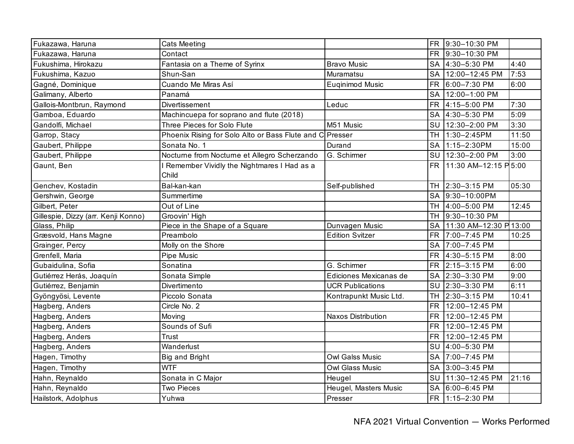| Fukazawa, Haruna                    | <b>Cats Meeting</b>                                      |                           | <b>FR</b> | 9:30-10:30 PM          |       |
|-------------------------------------|----------------------------------------------------------|---------------------------|-----------|------------------------|-------|
| Fukazawa, Haruna                    | Contact                                                  |                           | FR.       | 9:30-10:30 PM          |       |
| Fukushima, Hirokazu                 | Fantasia on a Theme of Syrinx                            | <b>Bravo Music</b>        |           | SA 4:30-5:30 PM        | 4:40  |
| Fukushima, Kazuo                    | Shun-San                                                 | Muramatsu                 |           | SA 12:00-12:45 PM      | 7:53  |
| Gagné, Dominique                    | Cuando Me Miras Así                                      | Euginimod Music           | <b>FR</b> | 6:00-7:30 PM           | 6:00  |
| Galimany, Alberto                   | Panamá                                                   |                           | <b>SA</b> | 12:00-1:00 PM          |       |
| Gallois-Montbrun, Raymond           | Divertissement                                           | Leduc                     | FR        | 4:15-5:00 PM           | 7:30  |
| Gamboa, Eduardo                     | Machincuepa for soprano and flute (2018)                 |                           |           | SA 4:30-5:30 PM        | 5:09  |
| Gandolfi, Michael                   | Three Pieces for Solo Flute                              | M51 Music                 |           | SU 12:30-2:00 PM       | 3:30  |
| Garrop, Stacy                       | Phoenix Rising for Solo Alto or Bass Flute and C Presser |                           |           | TH 1:30-2:45PM         | 11:50 |
| Gaubert, Philippe                   | Sonata No. 1                                             | Durand                    |           | SA 1:15-2:30PM         | 15:00 |
| Gaubert, Philippe                   | Nocturne from Nocturne et Allegro Scherzando             | G. Schirmer               |           | SU 12:30-2:00 PM       | 3:00  |
| Gaunt, Ben                          | Remember Vividly the Nightmares I Had as a<br>Child      |                           | <b>FR</b> | 11:30 AM-12:15 P 5:00  |       |
| Genchev, Kostadin                   | Bal-kan-kan                                              | Self-published            |           | TH 2:30-3:15 PM        | 05:30 |
| Gershwin, George                    | Summertime                                               |                           | <b>SA</b> | 9:30-10:00PM           |       |
| Gilbert, Peter                      | Out of Line                                              |                           | <b>TH</b> | 4:00-5:00 PM           | 12:45 |
| Gillespie, Dizzy (arr. Kenji Konno) | Groovin' High                                            |                           | <b>TH</b> | 9:30-10:30 PM          |       |
| Glass, Philip                       | Piece in the Shape of a Square                           | Dunvagen Music            | SA        | 11:30 AM-12:30 P 13:00 |       |
| Græsvold, Hans Magne                | Preambolo                                                | <b>Edition Svitzer</b>    | <b>FR</b> | 7:00-7:45 PM           | 10:25 |
| Grainger, Percy                     | Molly on the Shore                                       |                           |           | SA 7:00-7:45 PM        |       |
| Grenfell, Maria                     | <b>Pipe Music</b>                                        |                           |           | FR 4:30-5:15 PM        | 8:00  |
| Gubaidulina, Sofia                  | Sonatina                                                 | G. Schirmer               | FR.       | 2:15-3:15 PM           | 6:00  |
| Gutiérrez Herás, Joaquín            | Sonata Simple                                            | Ediciones Mexicanas de    |           | SA 2:30-3:30 PM        | 9:00  |
| Gutiérrez, Benjamin                 | Divertimento                                             | <b>UCR Publications</b>   |           | SU 2:30-3:30 PM        | 6:11  |
| Gyöngyösi, Levente                  | Piccolo Sonata                                           | Kontrapunkt Music Ltd.    |           | TH 2:30-3:15 PM        | 10:41 |
| Hagberg, Anders                     | Circle No. 2                                             |                           | <b>FR</b> | 12:00-12:45 PM         |       |
| Hagberg, Anders                     | Moving                                                   | <b>Naxos Distribution</b> | <b>FR</b> | 12:00-12:45 PM         |       |
| Hagberg, Anders                     | Sounds of Sufi                                           |                           | <b>FR</b> | 12:00-12:45 PM         |       |
| Hagberg, Anders                     | Trust                                                    |                           | <b>FR</b> | 12:00-12:45 PM         |       |
| Hagberg, Anders                     | Wanderlust                                               |                           | SU        | 4:00-5:30 PM           |       |
| Hagen, Timothy                      | <b>Big and Bright</b>                                    | <b>Owl Galss Music</b>    | <b>SA</b> | 7:00-7:45 PM           |       |
| Hagen, Timothy                      | <b>WTF</b>                                               | Owl Glass Music           | SA        | 3:00-3:45 PM           |       |
| Hahn, Reynaldo                      | Sonata in C Major                                        | Heugel                    |           | SU 11:30-12:45 PM      | 21:16 |
| Hahn, Reynaldo                      | <b>Two Pieces</b>                                        | Heugel, Masters Music     |           | SA 6:00-6:45 PM        |       |
| Hailstork, Adolphus                 | Yuhwa                                                    | Presser                   |           | FR 1:15-2:30 PM        |       |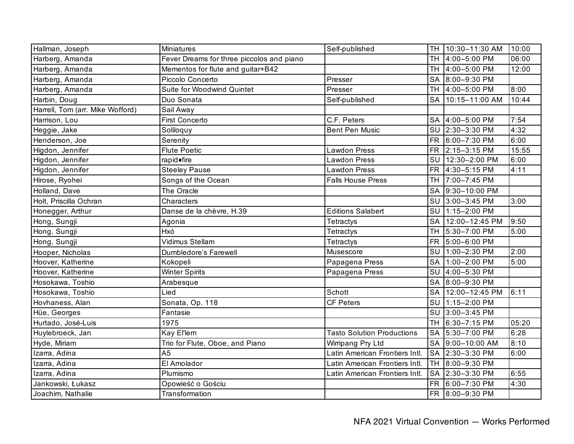| Hallman, Joseph                  | Miniatures                                | Self-published                    | <b>TH</b> | 10:30-11:30 AM      | 10:00 |
|----------------------------------|-------------------------------------------|-----------------------------------|-----------|---------------------|-------|
| Harberg, Amanda                  | Fever Dreams for three piccolos and piano |                                   | TH        | 4:00-5:00 PM        | 06:00 |
| Harberg, Amanda                  | Mementos for flute and guitar+B42         |                                   | <b>TH</b> | 4:00-5:00 PM        | 12:00 |
| Harberg, Amanda                  | Piccolo Concerto                          | Presser                           |           | SA 8:00-9:30 PM     |       |
| Harberg, Amanda                  | Suite for Woodwind Quintet                | Presser                           | TH        | 4:00-5:00 PM        | 8:00  |
| Harbin, Doug                     | Duo Sonata                                | Self-published                    | <b>SA</b> | 10:15-11:00 AM      | 10:44 |
| Harrell, Tom (arr. Mike Wofford) | Sail Away                                 |                                   |           |                     |       |
| Harrison, Lou                    | <b>First Concerto</b>                     | C.F. Peters                       | <b>SA</b> | 4:00-5:00 PM        | 7:54  |
| Heggie, Jake                     | Soliloquy                                 | <b>Bent Pen Music</b>             | SU        | 2:30-3:30 PM        | 4:32  |
| Henderson, Joe                   | Serenity                                  |                                   |           | FR 6:00-7:30 PM     | 6:00  |
| Higdon, Jennifer                 | <b>Flute Poetic</b>                       | <b>Lawdon Press</b>               |           | FR 2:15-3:15 PM     | 15:55 |
| Higdon, Jennifer                 | rapid◆fire                                | <b>Lawdon Press</b>               |           | SU 12:30-2:00 PM    | 6:00  |
| Higdon, Jennifer                 | <b>Steeley Pause</b>                      | <b>Lawdon Press</b>               |           | FR 4:30-5:15 PM     | 4:11  |
| Hirose, Ryohei                   | Songs of the Ocean                        | <b>Falls House Press</b>          |           | TH 7:00-7:45 PM     |       |
| Holland, Dave                    | The Oracle                                |                                   | <b>SA</b> | 9:30-10:00 PM       |       |
| Holt, Priscilla Ochran           | Characters                                |                                   | SU        | 3:00-3:45 PM        | 3:00  |
| Honegger, Arthur                 | Danse de la chèvre, H.39                  | <b>Editions Salabert</b>          | SU        | 1:15-2:00 PM        |       |
| Hong, Sungji                     | Agonia                                    | <b>Tetractys</b>                  |           | SA 12:00-12:45 PM   | 9:50  |
| Hong, Sungji                     | Hxó                                       | <b>Tetractys</b>                  | <b>TH</b> | 5:30-7:00 PM        | 5:00  |
| Hong, Sungji                     | Vidimus Stellam                           | Tetractys                         | FR.       | 5:00-6:00 PM        |       |
| Hooper, Nicholas                 | Dumbledore's Farewell                     | Musescore                         |           | SU 1:00-2:30 PM     | 2:00  |
| Hoover, Katherine                | Kokopeli                                  | Papagena Press                    |           | SA 1:00-2:00 PM     | 5:00  |
| Hoover, Katherine                | <b>Winter Spirits</b>                     | Papagena Press                    | SU        | 4:00-5:30 PM        |       |
| Hosokawa, Toshio                 | Arabesque                                 |                                   |           | SA 8:00-9:30 PM     |       |
| Hosokawa, Toshio                 | Lied                                      | Schott                            |           | SA   12:00-12:45 PM | 6:11  |
| Hovhaness, Alan                  | Sonata, Op. 118                           | <b>CF Peters</b>                  |           | SU 1:15-2:00 PM     |       |
| Hüe, Georges                     | Fantasie                                  |                                   | SU        | 3:00-3:45 PM        |       |
| Hurtado, José-Luis               | 1975                                      |                                   | <b>TH</b> | 6:30-7:15 PM        | 05:20 |
| Huylebroeck, Jan                 | Kay El'lem                                | <b>Tasto Solution Productions</b> |           | SA 5:30-7:00 PM     | 6:28  |
| Hyde, Miriam                     | Trio for Flute, Oboe, and Piano           | Wirripang Pry Ltd                 |           | SA 9:00-10:00 AM    | 8:10  |
| Izarra, Adina                    | A <sub>5</sub>                            | Latin American Frontiers Intl.    |           | SA 2:30-3:30 PM     | 6:00  |
| Izarra, Adina                    | El Amolador                               | Latin American Frontiers Intl.    | <b>TH</b> | 8:00-9:30 PM        |       |
| Izarra, Adina                    | Plumismo                                  | Latin American Frontiers Intl.    | <b>SA</b> | 2:30-3:30 PM        | 6:55  |
| Jankowski, Łukasz                | Opowieść o Gościu                         |                                   | <b>FR</b> | 6:00-7:30 PM        | 4:30  |
| Joachim, Nathalie                | Transformation                            |                                   |           | FR 8:00-9:30 PM     |       |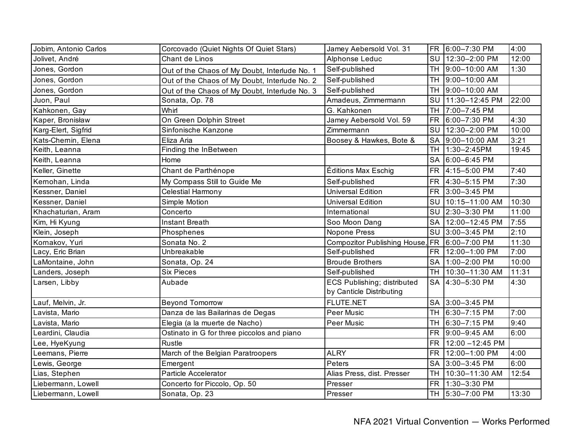| Jobim, Antonio Carlos | Corcovado (Quiet Nights Of Quiet Stars)       | Jamey Aebersold Vol. 31                                        | <b>FR</b> | 6:00-7:30 PM        | 4:00  |
|-----------------------|-----------------------------------------------|----------------------------------------------------------------|-----------|---------------------|-------|
| Jolivet, André        | Chant de Linos                                | Alphonse Leduc                                                 |           | SU 12:30-2:00 PM    | 12:00 |
| Jones, Gordon         | Out of the Chaos of My Doubt, Interlude No. 1 | Self-published                                                 |           | TH 9:00-10:00 AM    | 1:30  |
| Jones, Gordon         | Out of the Chaos of My Doubt, Interlude No. 2 | Self-published                                                 | <b>TH</b> | 9:00-10:00 AM       |       |
| Jones, Gordon         | Out of the Chaos of My Doubt, Interlude No. 3 | Self-published                                                 |           | TH 9:00-10:00 AM    |       |
| Juon, Paul            | Sonata, Op. 78                                | Amadeus, Zimmermann                                            |           | SU 11:30-12:45 PM   | 22:00 |
| Kahkonen, Gay         | Whirl                                         | G. Kahkonen                                                    | <b>TH</b> | 7:00-7:45 PM        |       |
| Kaper, Bronisław      | On Green Dolphin Street                       | Jamey Aebersold Vol. 59                                        | <b>FR</b> | 6:00-7:30 PM        | 4:30  |
| Karg-Elert, Sigfrid   | Sinfonische Kanzone                           | Zimmermann                                                     |           | SU 12:30-2:00 PM    | 10:00 |
| Kats-Chernin, Elena   | Eliza Aria                                    | Boosey & Hawkes, Bote &                                        | <b>SA</b> | 9:00-10:00 AM       | 3:21  |
| Keith, Leanna         | Finding the InBetween                         |                                                                |           | TH 1:30-2:45PM      | 19:45 |
| Keith, Leanna         | Home                                          |                                                                |           | SA 6:00-6:45 PM     |       |
| Keller, Ginette       | Chant de Parthénope                           | Éditions Max Eschig                                            |           | FR 4:15-5:00 PM     | 7:40  |
| Kernohan, Linda       | My Compass Still to Guide Me                  | Self-published                                                 |           | FR 4:30-5:15 PM     | 7:30  |
| Kessner, Daniel       | Celestial Harmony                             | <b>Universal Edition</b>                                       | <b>FR</b> | 3:00-3:45 PM        |       |
| Kessner, Daniel       | Simple Motion                                 | <b>Universal Edition</b>                                       | SU I      | 10:15-11:00 AM      | 10:30 |
| Khachaturian, Aram    | Concerto                                      | International                                                  |           | SU 2:30-3:30 PM     | 11:00 |
| Kim, Hi Kyung         | <b>Instant Breath</b>                         | Soo Moon Dang                                                  |           | SA   12:00-12:45 PM | 7:55  |
| Klein, Joseph         | Phosphenes                                    | Nopone Press                                                   |           | SU 3:00-3:45 PM     | 2:10  |
| Kornakov, Yuri        | Sonata No. 2                                  | Compozitor Publishing House,                                   |           | FR 6:00-7:00 PM     | 11:30 |
| Lacy, Eric Brian      | Unbreakable                                   | Self-published                                                 |           | FR 12:00-1:00 PM    | 7:00  |
| LaMontaine, John      | Sonata, Op. 24                                | <b>Broude Brothers</b>                                         |           | SA 1:00-2:00 PM     | 10:00 |
| anders, Joseph        | <b>Six Pieces</b>                             | Self-published                                                 |           | TH 10:30-11:30 AM   | 11:31 |
| Larsen, Libby         | Aubade                                        | <b>ECS Publishing; distributed</b><br>by Canticle Distributing | SA        | 4:30-5:30 PM        | 4:30  |
| Lauf, Melvin, Jr.     | <b>Beyond Tomorrow</b>                        | <b>FLUTE.NET</b>                                               |           | SA 3:00-3:45 PM     |       |
| Lavista, Mario        | Danza de las Bailarinas de Degas              | Peer Music                                                     |           | TH 6:30-7:15 PM     | 7:00  |
| Lavista, Mario        | Elegia (a la muerte de Nacho)                 | Peer Music                                                     |           | TH 6:30-7:15 PM     | 9:40  |
| Leardini, Claudia     | Ostinato in G for three piccolos and piano    |                                                                |           | FR 9:00-9:45 AM     | 6:00  |
| Lee, HyeKyung         | Rustle                                        |                                                                | <b>FR</b> | 12:00 - 12:45 PM    |       |
| eemans, Pierre        | March of the Belgian Paratroopers             | <b>ALRY</b>                                                    | <b>FR</b> | 12:00-1:00 PM       | 4:00  |
| Lewis, George         | Emergent                                      | Peters                                                         | <b>SA</b> | 3:00-3:45 PM        | 6:00  |
| Lias, Stephen         | Particle Accelerator                          | Alias Press, dist. Presser                                     | <b>TH</b> | 10:30-11:30 AM      | 12:54 |
| Liebermann, Lowell    | Concerto for Piccolo, Op. 50                  | Presser                                                        | <b>FR</b> | 1:30-3:30 PM        |       |
| Liebermann, Lowell    | Sonata, Op. 23                                | Presser                                                        |           | TH 5:30-7:00 PM     | 13:30 |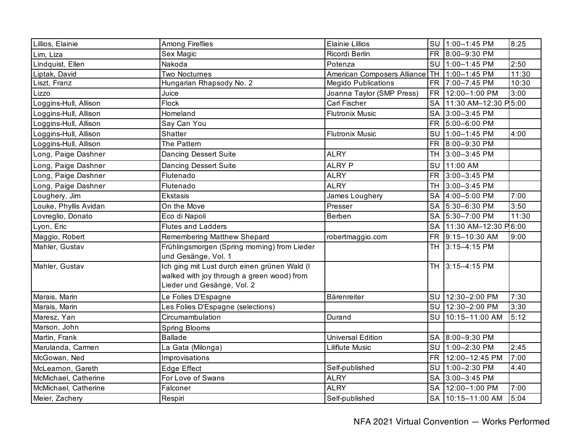| Lillios, Elainie      | <b>Among Fireflies</b>                                                                                                   | <b>Elainie Lillios</b>      |           | SU 1:00-1:45 PM         | 8:25  |
|-----------------------|--------------------------------------------------------------------------------------------------------------------------|-----------------------------|-----------|-------------------------|-------|
| Lim, Liza             | Sex Magic                                                                                                                | Ricordi Berlin              |           | FR 8:00-9:30 PM         |       |
| Lindquist, Ellen      | Nakoda                                                                                                                   | Potenza                     |           | SU 1:00-1:45 PM         | 2:50  |
| Liptak, David         | Two Nocturnes                                                                                                            | American Composers Alliance |           | TH 1:00-1:45 PM         | 11:30 |
| Liszt, Franz          | Hungarian Rhapsody No. 2                                                                                                 | <b>Megido Publications</b>  |           | FR 7:00-7:45 PM         | 10:30 |
| Lizzo                 | Juice                                                                                                                    | Joanna Taylor (SMP Press)   |           | FR 12:00-1:00 PM        | 3:00  |
| Loggins-Hull, Allison | Flock                                                                                                                    | <b>Carl Fischer</b>         | SA        | 11:30 AM-12:30 P 5:00   |       |
| Loggins-Hull, Allison | Homeland                                                                                                                 | <b>Flutronix Music</b>      |           | SA 3:00-3:45 PM         |       |
| Loggins-Hull, Allison | Say Can You                                                                                                              |                             |           | FR 5:00-6:00 PM         |       |
| Loggins-Hull, Allison | Shatter                                                                                                                  | <b>Flutronix Music</b>      | SU        | 1:00-1:45 PM            | 4:00  |
| Loggins-Hull, Allison | The Pattern                                                                                                              |                             |           | FR 8:00-9:30 PM         |       |
| Long, Paige Dashner   | <b>Dancing Dessert Suite</b>                                                                                             | <b>ALRY</b>                 |           | TH 3:00-3:45 PM         |       |
| Long, Paige Dashner   | <b>Dancing Dessert Suite</b>                                                                                             | <b>ALRY P</b>               | SU        | 11:00 AM                |       |
| Long, Paige Dashner   | Flutenado                                                                                                                | <b>ALRY</b>                 |           | FR 3:00-3:45 PM         |       |
| Long, Paige Dashner   | Flutenado                                                                                                                | <b>ALRY</b>                 |           | TH 3:00-3:45 PM         |       |
| Loughery, Jim         | <b>Ekstasis</b>                                                                                                          | James Loughery              |           | SA 4:00-5:00 PM         | 7:00  |
| Louke, Phyllis Avidan | On the Move                                                                                                              | Presser                     |           | SA 5:30-6:30 PM         | 3:50  |
| Lovreglio, Donato     | Eco di Napoli                                                                                                            | Berben                      |           | SA 5:30-7:00 PM         | 11:30 |
| Lyon, Eric            | <b>Flutes and Ladders</b>                                                                                                |                             |           | SA 11:30 AM-12:30 P6:00 |       |
| Maggio, Robert        | Remembering Matthew Shepard                                                                                              | robertmaggio.com            |           | FR 9:15-10:30 AM        | 9:00  |
| Mahler, Gustav        | Frühlingsmorgen (Spring morning) from Lieder<br>und Gesänge, Vol. 1                                                      |                             |           | TH 3:15-4:15 PM         |       |
| Mahler, Gustav        | Ich ging mit Lust durch einen grünen Wald (I<br>walked with joy through a green wood) from<br>Lieder und Gesänge, Vol. 2 |                             |           | TH 3:15-4:15 PM         |       |
| Marais, Marin         | Le Folies D'Espagne                                                                                                      | Bärenreiter                 |           | SU 12:30-2:00 PM        | 7:30  |
| Marais, Marin         | Les Folies D'Espagne (selections)                                                                                        |                             |           | SU 12:30-2:00 PM        | 3:30  |
| Maresz, Yan           | Circumambulation                                                                                                         | Durand                      | SU        | 10:15-11:00 AM          | 5:12  |
| Marson, John          | Spring Blooms                                                                                                            |                             |           |                         |       |
| Martin, Frank         | <b>Ballade</b>                                                                                                           | <b>Universal Edition</b>    |           | SA 8:00-9:30 PM         |       |
| Marulanda, Carmen     | La Gata (Milonga)                                                                                                        | Liliflute Music             | <b>SU</b> | 1:00-2:30 PM            | 2:45  |
| McGowan, Ned          | Improvisations                                                                                                           |                             |           | FR 12:00-12:45 PM       | 7:00  |
| McLearnon, Gareth     | <b>Edge Effect</b>                                                                                                       | Self-published              | SU        | 1:00-2:30 PM            | 4:40  |
| McMichael, Catherine  | For Love of Swans                                                                                                        | <b>ALRY</b>                 |           | SA 3:00-3:45 PM         |       |
| McMichael, Catherine  | Falconer                                                                                                                 | <b>ALRY</b>                 |           | SA 12:00-1:00 PM        | 7:00  |
| Meier, Zachery        | Respiri                                                                                                                  | Self-published              |           | SA 10:15-11:00 AM       | 5:04  |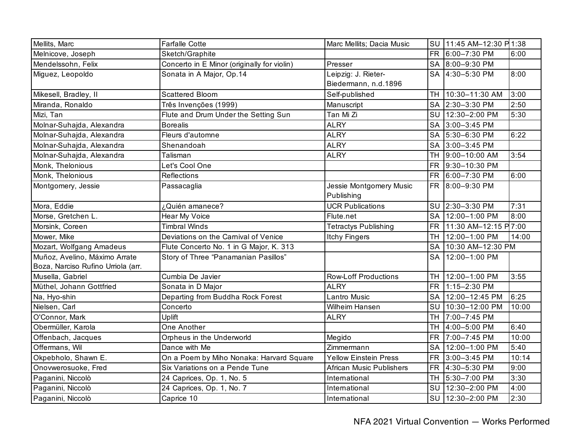| Mellits, Marc                      | <b>Farfalle Cotte</b>                       | Marc Mellits; Dacia Music       | SU        | 11:45 AM-12:30 P1:38 |       |
|------------------------------------|---------------------------------------------|---------------------------------|-----------|----------------------|-------|
| Melnicove, Joseph                  | Sketch/Graphite                             |                                 |           | FR 6:00-7:30 PM      | 6:00  |
| Mendelssohn, Felix                 | Concerto in E Minor (originally for violin) | Presser                         |           | SA 8:00-9:30 PM      |       |
| Miguez, Leopoldo                   | Sonata in A Major, Op.14                    | Leipzig: J. Rieter-             |           | SA 4:30-5:30 PM      | 8:00  |
|                                    |                                             | Biedermann, n.d.1896            |           |                      |       |
| Mikesell, Bradley, II              | <b>Scattered Bloom</b>                      | Self-published                  | <b>TH</b> | 10:30-11:30 AM       | 3:00  |
| Miranda, Ronaldo                   | Três Invenções (1999)                       | Manuscript                      |           | SA 2:30-3:30 PM      | 2:50  |
| Mizi, Tan                          | Flute and Drum Under the Setting Sun        | Tan Mi Zi                       |           | SU 12:30-2:00 PM     | 5:30  |
| Molnar-Suhajda, Alexandra          | <b>Borealis</b>                             | <b>ALRY</b>                     |           | SA 3:00-3:45 PM      |       |
| Molnar-Suhajda, Alexandra          | Fleurs d'automne                            | <b>ALRY</b>                     |           | SA 5:30-6:30 PM      | 6:22  |
| Molnar-Suhajda, Alexandra          | Shenandoah                                  | <b>ALRY</b>                     |           | SA 3:00-3:45 PM      |       |
| Molnar-Suhajda, Alexandra          | Talisman                                    | <b>ALRY</b>                     |           | TH 9:00-10:00 AM     | 3:54  |
| Monk, Thelonious                   | Let's Cool One                              |                                 | <b>FR</b> | 9:30-10:30 PM        |       |
| Monk, Thelonious                   | Reflections                                 |                                 | <b>FR</b> | 6:00-7:30 PM         | 6:00  |
| Montgomery, Jessie                 | Passacaglia                                 | Jessie Montgomery Music         |           | FR 8:00-9:30 PM      |       |
|                                    |                                             | Publishing                      |           |                      |       |
| Mora, Eddie                        | ¿Quién amanece?                             | <b>UCR Publications</b>         |           | SU 2:30-3:30 PM      | 7:31  |
| Morse, Gretchen L.                 | Hear My Voice                               | Flute.net                       | <b>SA</b> | 12:00-1:00 PM        | 8:00  |
| Morsink, Coreen                    | <b>Timbral Winds</b>                        | <b>Tetractys Publishing</b>     | <b>FR</b> | 11:30 AM-12:15 P7:00 |       |
| Mower, Mike                        | Deviations on the Carnival of Venice        | <b>Itchy Fingers</b>            | <b>TH</b> | 12:00-1:00 PM        | 14:00 |
| Mozart, Wolfgang Amadeus           | Flute Concerto No. 1 in G Major, K. 313     |                                 | <b>SA</b> | 10:30 AM-12:30 PM    |       |
| Muñoz, Avelino, Máximo Arrate      | Story of Three "Panamanian Pasillos"        |                                 | <b>SA</b> | 12:00-1:00 PM        |       |
| Boza, Narciso Rufino Urriola (arr. |                                             |                                 |           |                      |       |
| Musella, Gabriel                   | Cumbia De Javier                            | <b>Row-Loff Productions</b>     |           | TH 12:00-1:00 PM     | 3:55  |
| Müthel, Johann Gottfried           | Sonata in D Major                           | <b>ALRY</b>                     |           | FR 1:15-2:30 PM      |       |
| Na, Hyo-shin                       | Departing from Buddha Rock Forest           | <b>Lantro Music</b>             |           | SA   12:00-12:45 PM  | 6:25  |
| Nielsen, Carl                      | Concerto                                    | Wilheim Hansen                  | <b>SU</b> | 10:30-12:00 PM       | 10:00 |
| O'Connor, Mark                     | Uplift                                      | <b>ALRY</b>                     | <b>TH</b> | 7:00-7:45 PM         |       |
| Obermüller, Karola                 | One Another                                 |                                 | <b>TH</b> | 4:00-5:00 PM         | 6:40  |
| Offenbach, Jacques                 | Orpheus in the Underworld                   | Megido                          | <b>FR</b> | 7:00-7:45 PM         | 10:00 |
| Offermans, Wil                     | Dance with Me                               | Zimmermann                      | <b>SA</b> | 12:00-1:00 PM        | 5:40  |
| Okpebholo, Shawn E.                | On a Poem by Miho Nonaka: Harvard Square    | <b>Yellow Einstein Press</b>    | <b>FR</b> | 3:00-3:45 PM         | 10:14 |
| Onovwerosuoke, Fred                | Six Variations on a Pende Tune              | <b>African Music Publishers</b> |           | FR 4:30-5:30 PM      | 9:00  |
| Paganini, Niccolò                  | 24 Caprices, Op. 1, No. 5                   | International                   |           | TH 5:30-7:00 PM      | 3:30  |
| Paganini, Niccolò                  | 24 Caprices, Op. 1, No. 7                   | International                   | SU        | 12:30-2:00 PM        | 4:00  |
| Paganini, Niccolò                  | Caprice 10                                  | International                   | <b>SU</b> | 12:30-2:00 PM        | 2:30  |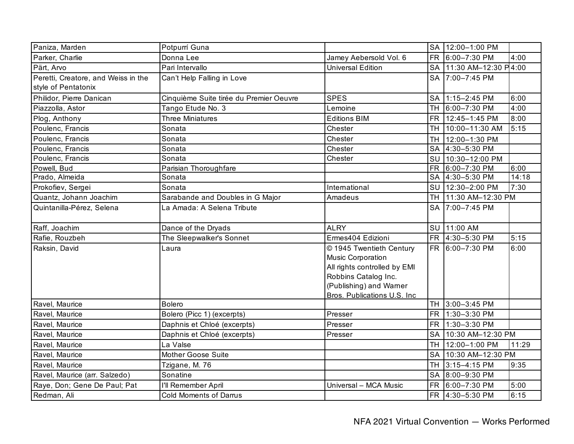| Paniza, Marden                                             | Potpurrí Guna                           |                              | <b>SA</b> | 12:00-1:00 PM           |       |
|------------------------------------------------------------|-----------------------------------------|------------------------------|-----------|-------------------------|-------|
| Parker, Charlie                                            | Donna Lee                               | Jamey Aebersold Vol. 6       | <b>FR</b> | 6:00-7:30 PM            | 4:00  |
| Pärt, Arvo                                                 | Pari Intervallo                         | <b>Universal Edition</b>     |           | SA 11:30 AM-12:30 P4:00 |       |
| Peretti, Creatore, and Weiss in the<br>style of Pentatonix | Can't Help Falling in Love              |                              |           | SA 7:00-7:45 PM         |       |
| Philidor, Pierre Danican                                   | Cinquième Suite tirée du Premier Oeuvre | <b>SPES</b>                  | <b>SA</b> | 1:15-2:45 PM            | 6:00  |
| Piazzolla, Astor                                           | Tango Etude No. 3                       | Lemoine                      |           | TH 6:00-7:30 PM         | 4:00  |
| Plog, Anthony                                              | <b>Three Miniatures</b>                 | <b>Editions BIM</b>          |           | FR 12:45-1:45 PM        | 8:00  |
| Poulenc, Francis                                           | Sonata                                  | Chester                      | <b>TH</b> | 10:00-11:30 AM          | 5:15  |
| Poulenc, Francis                                           | Sonata                                  | Chester                      | TH.       | 12:00-1:30 PM           |       |
| Poulenc, Francis                                           | Sonata                                  | Chester                      |           | SA 4:30-5:30 PM         |       |
| Poulenc, Francis                                           | Sonata                                  | Chester                      | SU        | 10:30-12:00 PM          |       |
| Powell, Bud                                                | Parisian Thoroughfare                   |                              | <b>FR</b> | 6:00-7:30 PM            | 6:00  |
| Prado, Almeida                                             | Sonata                                  |                              |           | SA 4:30-5:30 PM         | 14:18 |
| Prokofiev, Sergei                                          | Sonata                                  | International                | SU        | 12:30-2:00 PM           | 7:30  |
| Quantz, Johann Joachim                                     | Sarabande and Doubles in G Major        | Amadeus                      | TH        | 11:30 AM-12:30 PM       |       |
| Quintanilla-Pérez, Selena                                  | La Amada: A Selena Tribute              |                              | SA        | 7:00-7:45 PM            |       |
| Raff, Joachim                                              | Dance of the Dryads                     | <b>ALRY</b>                  |           | SU 11:00 AM             |       |
|                                                            |                                         |                              |           |                         |       |
| Rafie, Rouzbeh                                             | The Sleepwalker's Sonnet                | Ermes404 Edizioni            |           | FR 4:30-5:30 PM         | 5:15  |
| Raksin, David                                              | Laura                                   | © 1945 Twentieth Century     |           | FR 6:00-7:30 PM         | 6:00  |
|                                                            |                                         | <b>Music Corporation</b>     |           |                         |       |
|                                                            |                                         | All rights controlled by EMI |           |                         |       |
|                                                            |                                         | Robbins Catalog Inc.         |           |                         |       |
|                                                            |                                         | (Publishing) and Warner      |           |                         |       |
|                                                            |                                         | Bros. Publications U.S. Inc. |           |                         |       |
| Ravel, Maurice                                             | <b>Bolero</b>                           |                              |           | TH 3:00-3:45 PM         |       |
| Ravel, Maurice                                             | Bolero (Picc 1) (excerpts)              | Presser                      | FR        | 1:30-3:30 PM            |       |
| Ravel, Maurice                                             | Daphnis et Chloé (excerpts)             | Presser                      |           | FR 1:30-3:30 PM         |       |
| Ravel, Maurice                                             | Daphnis et Chloé (excerpts)             | Presser                      |           | SA 10:30 AM-12:30 PM    |       |
| Ravel, Maurice                                             | La Valse                                |                              | <b>TH</b> | 12:00-1:00 PM           | 11:29 |
| Ravel, Maurice                                             | Mother Goose Suite                      |                              | <b>SA</b> | 10:30 AM-12:30 PM       |       |
| Ravel, Maurice                                             | Tzigane, M. 76                          |                              | <b>TH</b> | 3:15-4:15 PM            | 9:35  |
| Ravel, Maurice (arr. Salzedo)                              | Sonatine                                |                              | <b>SA</b> | 8:00-9:30 PM            |       |
| Raye, Don; Gene De Paul; Pat                               | I'll Remember April                     | Universal - MCA Music        | FR        | 6:00-7:30 PM            | 5:00  |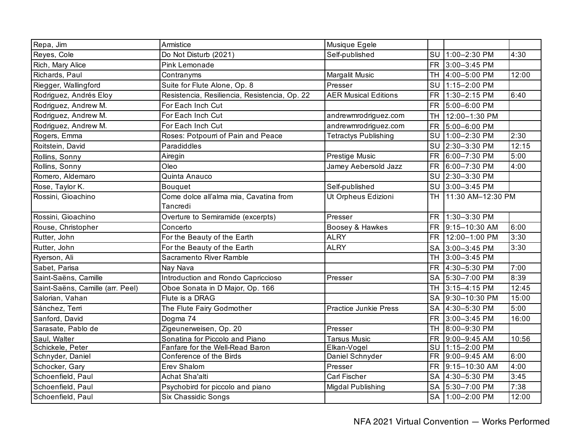| Repa, Jim                        | Armistice                                     | Musique Egele                |           |                   |       |
|----------------------------------|-----------------------------------------------|------------------------------|-----------|-------------------|-------|
| Reyes, Cole                      | Do Not Disturb (2021)                         | Self-published               | SU        | $1:00-2:30$ PM    | 4:30  |
| Rich, Mary Alice                 | Pink Lemonade                                 |                              | <b>FR</b> | 3:00-3:45 PM      |       |
| Richards, Paul                   | Contranyms                                    | Margalit Music               |           | TH 4:00-5:00 PM   | 12:00 |
| Riegger, Wallingford             | Suite for Flute Alone, Op. 8                  | Presser                      |           | SU 1:15-2:00 PM   |       |
| Rodriguez, Andrés Eloy           | Resistencia, Resiliencia, Resistencia, Op. 22 | <b>AER Musical Editions</b>  | <b>FR</b> | 1:30-2:15 PM      | 6:40  |
| Rodriguez, Andrew M.             | For Each Inch Cut                             |                              | FR        | 5:00-6:00 PM      |       |
| Rodriguez, Andrew M.             | For Each Inch Cut                             | andrewmrodriguez.com         | TH.       | 12:00-1:30 PM     |       |
| Rodriguez, Andrew M.             | For Each Inch Cut                             | andrewmrodriguez.com         | <b>FR</b> | 5:00-6:00 PM      |       |
| Rogers, Emma                     | Roses: Potpourri of Pain and Peace            | <b>Tetractys Publishing</b>  |           | SU 1:00-2:30 PM   | 2:30  |
| Roitstein, David                 | Paradiddles                                   |                              |           | SU 2:30-3:30 PM   | 12:15 |
| Rollins, Sonny                   | Airegin                                       | Prestige Music               | <b>FR</b> | 6:00-7:30 PM      | 5:00  |
| Rollins, Sonny                   | Oleo                                          | Jamey Aebersold Jazz         | <b>FR</b> | 6:00-7:30 PM      | 4:00  |
| Romero, Aldemaro                 | Quinta Anauco                                 |                              | SU        | 2:30-3:30 PM      |       |
| Rose, Taylor K.                  | <b>Bouquet</b>                                | Self-published               | SU        | 3:00-3:45 PM      |       |
| Rossini, Gioachino               | Come dolce all'alma mia, Cavatina from        | Ut Orpheus Edizioni          | TH        | 11:30 AM-12:30 PM |       |
|                                  | Tancredi                                      |                              |           |                   |       |
| Rossini, Gioachino               | Overture to Semiramide (excerpts)             | Presser                      | <b>FR</b> | 1:30-3:30 PM      |       |
| Rouse, Christopher               | Concerto                                      | Boosey & Hawkes              | FR        | 9:15-10:30 AM     | 6:00  |
| Rutter, John                     | For the Beauty of the Earth                   | <b>ALRY</b>                  |           | FR 12:00-1:00 PM  | 3:30  |
| Rutter, John                     | For the Beauty of the Earth                   | <b>ALRY</b>                  |           | SA 3:00-3:45 PM   | 3:30  |
| Ryerson, Ali                     | Sacramento River Ramble                       |                              |           | TH 3:00-3:45 PM   |       |
| Sabet, Parisa                    | Nay Nava                                      |                              | <b>FR</b> | 4:30-5:30 PM      | 7:00  |
| Saint-Saëns, Camille             | Introduction and Rondo Capriccioso            | Presser                      | <b>SA</b> | 5:30-7:00 PM      | 8:39  |
| Saint-Saëns, Camille (arr. Peel) | Oboe Sonata in D Major, Op. 166               |                              | <b>TH</b> | 3:15-4:15 PM      | 12:45 |
| Salorian, Vahan                  | Flute is a DRAG                               |                              | <b>SA</b> | 9:30-10:30 PM     | 15:00 |
| Sánchez, Terri                   | The Flute Fairy Godmother                     | <b>Practice Junkie Press</b> | <b>SA</b> | 4:30-5:30 PM      | 5:00  |
| Sanford, David                   | Dogma 74                                      |                              | <b>FR</b> | 3:00-3:45 PM      | 16:00 |
| Sarasate, Pablo de               | Zigeunerweisen, Op. 20                        | Presser                      | <b>TH</b> | 8:00-9:30 PM      |       |
| Saul, Walter                     | Sonatina for Piccolo and Piano                | <b>Tarsus Music</b>          | <b>FR</b> | 9:00-9:45 AM      | 10:56 |
| Schickele, Peter                 | Fanfare for the Well-Read Baron               | Elkan-Vogel                  | SU I      | 1:15-2:00 PM      |       |
| Schnyder, Daniel                 | Conference of the Birds                       | Daniel Schnyder              | <b>FR</b> | 9:00-9:45 AM      | 6:00  |
| Schocker, Gary                   | Erev Shalom                                   | Presser                      | FR        | 9:15-10:30 AM     | 4:00  |
| Schoenfield, Paul                | Achat Sha'alti                                | Carl Fischer                 |           | SA 4:30-5:30 PM   | 3:45  |
| Schoenfield, Paul                | Psychobird for piccolo and piano              | Migdal Publishing            |           | SA 5:30-7:00 PM   | 7:38  |
| Schoenfield, Paul                | <b>Six Chassidic Songs</b>                    |                              |           | SA 1:00-2:00 PM   | 12:00 |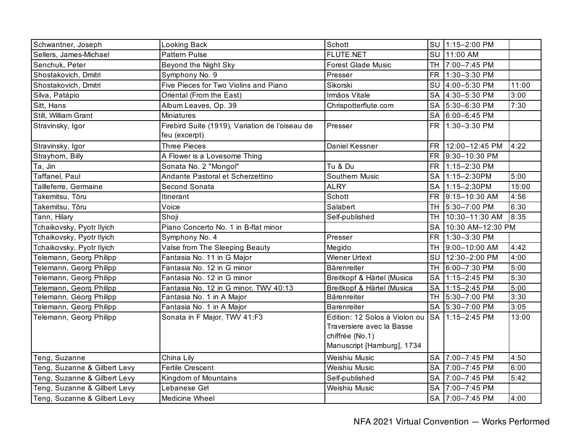| Schwantner, Joseph           | Looking Back                                                     | Schott                                                                                                      |           | SU 1:15-2:00 PM   |       |
|------------------------------|------------------------------------------------------------------|-------------------------------------------------------------------------------------------------------------|-----------|-------------------|-------|
| Sellers, James-Michael       | <b>Pattern Pulse</b>                                             | <b>FLUTE.NET</b>                                                                                            | SU        | 11:00 AM          |       |
| Senchuk, Peter               | Beyond the Night Sky                                             | <b>Forest Glade Music</b>                                                                                   |           | TH 7:00-7:45 PM   |       |
| Shostakovich, Dmitri         | Symphony No. 9                                                   | Presser                                                                                                     |           | FR 1:30-3:30 PM   |       |
| Shostakovich, Dmitri         | Five Pieces for Two Violins and Piano                            | Sikorski                                                                                                    |           | SU 4:00-5:30 PM   | 11:00 |
| Silva, Patápio               | Oriental (From the East)                                         | Irmãos Vitale                                                                                               |           | SA 4:30-5:30 PM   | 3:00  |
| Sitt, Hans                   | Album Leaves, Op. 39                                             | Chrispotterflute.com                                                                                        |           | SA 5:30-6:30 PM   | 7:30  |
| Still, William Grant         | <b>Miniatures</b>                                                |                                                                                                             |           | SA 6:00-6:45 PM   |       |
| Stravinsky, Igor             | Firebird Suite (1919), Variation de l'oiseau de<br>feu (excerpt) | Presser                                                                                                     |           | FR 1:30-3:30 PM   |       |
| Stravinsky, Igor             | <b>Three Pieces</b>                                              | Daniel Kessner                                                                                              | <b>FR</b> | 12:00-12:45 PM    | 4:22  |
| Strayhorn, Billy             | A Flower is a Lovesome Thing                                     |                                                                                                             | <b>FR</b> | 9:30-10:30 PM     |       |
| Ta, Jin                      | Sonata No. 2 "Mongol"                                            | Tu & Du                                                                                                     | <b>FR</b> | 1:15-2:30 PM      |       |
| Taffanel, Paul               | Andante Pastoral et Scherzettino                                 | Southern Music                                                                                              | <b>SA</b> | 1:15-2:30PM       | 5:00  |
| Tailleferre, Germaine        | Second Sonata                                                    | <b>ALRY</b>                                                                                                 | <b>SA</b> | 1:15-2:30PM       | 15:00 |
| Takemitsu, Tōru              | Itinerant                                                        | Schott                                                                                                      | <b>FR</b> | 9:15-10:30 AM     | 4:56  |
| Takemitsu, Tōru              | Voice                                                            | Salabert                                                                                                    |           | TH 5:30-7:00 PM   | 6:30  |
| Tann, Hilary                 | Shoji                                                            | Self-published                                                                                              | <b>TH</b> | 10:30-11:30 AM    | 8:35  |
| Tchaikovsky, Pyotr Ilyich    | Piano Concerto No. 1 in B-flat minor                             |                                                                                                             | <b>SA</b> | 10:30 AM-12:30 PM |       |
| Tchaikovsky, Pyotr Ilyich    | Symphony No. 4                                                   | Presser                                                                                                     |           | FR 1:30-3:30 PM   |       |
| Tchaikovsky, Pyotr Ilyich    | Valse from The Sleeping Beauty                                   | Megido                                                                                                      |           | TH 9:00-10:00 AM  | 4:42  |
| Telemann, Georg Philipp      | Fantasia No. 11 in G Major                                       | <b>Wiener Urtext</b>                                                                                        |           | SU 12:30-2:00 PM  | 4:00  |
| Telemann, Georg Philipp      | Fantasia No. 12 in G minor                                       | <b>Bärenreiter</b>                                                                                          |           | TH 6:00-7:30 PM   | 5:00  |
| Telemann, Georg Philipp      | Fantasia No. 12 in G minor                                       | Breitkopf & Härtel (Musica                                                                                  |           | SA 1:15-2:45 PM   | 5:30  |
| Telemann, Georg Philipp      | Fantasia No. 12 in G minor, TWV 40:13                            | Breitkopf & Härtel (Musica                                                                                  |           | SA 1:15-2:45 PM   | 5:00  |
| Telemann, Georg Philipp      | Fantasia No. 1 in A Major                                        | Bärenreiter                                                                                                 |           | TH 5:30-7:00 PM   | 3:30  |
| Telemann, Georg Philipp      | Fantasia No. 1 in A Major                                        | <b>Barenreiter</b>                                                                                          |           | SA 5:30-7:00 PM   | 3:05  |
| Telemann, Georg Philipp      | Sonata in F Major, TWV 41:F3                                     | Edition: 12 Solos à Violon ou<br>Traversiere avec la Basse<br>chiffrée (No.1)<br>Manuscript [Hamburg], 1734 |           | SA 1:15-2:45 PM   | 13:00 |
| Teng, Suzanne                | China Lily                                                       | Weishiu Music                                                                                               |           | SA 7:00-7:45 PM   | 4:50  |
| Teng, Suzanne & Gilbert Levy | Fertile Crescent                                                 | Weishiu Music                                                                                               |           | SA 7:00-7:45 PM   | 6:00  |
| Teng, Suzanne & Gilbert Levy | Kingdom of Mountains                                             | Self-published                                                                                              |           | SA 7:00-7:45 PM   | 5:42  |
| Teng, Suzanne & Gilbert Levy | Lebanese Girl                                                    | Weishiu Music                                                                                               |           | SA 7:00-7:45 PM   |       |
| Teng, Suzanne & Gilbert Levy | Medicine Wheel                                                   |                                                                                                             |           | SA 7:00-7:45 PM   | 4:00  |